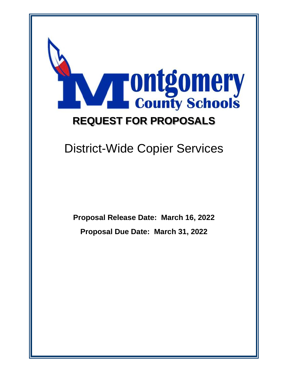

# District-Wide Copier Services

**Proposal Release Date: March 16, 2022 Proposal Due Date: March 31, 2022**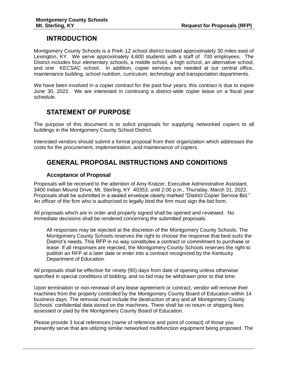# **INTRODUCTION**

Montgomery County Schools is a PreK-12 school district located approximately 30 miles east of Lexington, KY. We serve approximately 4,600 students with a staff of 700 employees. The District includes four elementary schools, a middle school, a high school, an alternative school, and one KECSAC school. In addition, copier services are needed at our central office, maintenance building, school nutrition, curriculum, technology and transportation departments.

We have been involved in a copier contract for the past four years; this contract is due to expire June 30, 2022. We are interested in continuing a district-wide copier lease on a fiscal year schedule.

# **STATEMENT OF PURPOSE**

The purpose of this document is to solicit proposals for supplying networked copiers to all buildings in the Montgomery County School District.

Interested vendors should submit a formal proposal from their organization which addresses the costs for the procurement, implementation, and maintenance of copiers.

# **GENERAL PROPOSAL INSTRUCTIONS AND CONDITIONS**

### **Acceptance of Proposal**

Proposals will be received to the attention of Amy Kratzer, Executive Administrative Assistant, 3400 Indian Mound Drive, Mt. Sterling, KY 40353, until 2:00 p.m., Thursday, March 31, 2022. Proposals shall be submitted in a sealed envelope clearly marked "District Copier Service Bid." An officer of the firm who is authorized to legally bind the firm must sign the bid form.

All proposals which are in order and properly signed shall be opened and reviewed. No immediate decisions shall be rendered concerning the submitted proposals.

All responses may be rejected at the discretion of the Montgomery County Schools. The Montgomery County Schools reserves the right to choose the response that best suits the District's needs. This RFP in no way constitutes a contract or commitment to purchase or lease. If all responses are rejected, the Montgomery County Schools reserves the right to publish an RFP at a later date or enter into a contract recognized by the Kentucky Department of Education.

All proposals shall be effective for ninety (90) days from date of opening unless otherwise specified in special conditions of bidding, and no bid may be withdrawn prior to that time.

Upon termination or non-renewal of any lease agreement or contract, vendor will remove their machines from the property controlled by the Montgomery County Board of Education within 14 business days. The removal must include the destruction of any and all Montgomery County Schools' confidential data stored on the machines. There shall be no return or shipping fees assessed or paid by the Montgomery County Board of Education.

Please provide 3 local references (name of reference and point of contact) of those you presently serve that are utilizing similar networked multifunction equipment being proposed. The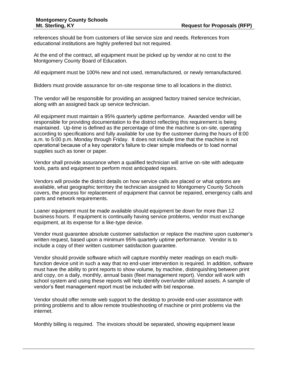references should be from customers of like service size and needs. References from educational institutions are highly preferred but not required.

At the end of the contract, all equipment must be picked up by vendor at no cost to the Montgomery County Board of Education.

All equipment must be 100% new and not used, remanufactured, or newly remanufactured.

Bidders must provide assurance for on-site response time to all locations in the district.

The vendor will be responsible for providing an assigned factory trained service technician, along with an assigned back up service technician.

All equipment must maintain a 95% quarterly uptime performance. Awarded vendor will be responsible for providing documentation to the district reflecting this requirement is being maintained. Up-time is defined as the percentage of time the machine is on-site, operating according to specifications and fully available for use by the customer during the hours of 8:00 a.m. to 5:00 p.m. Monday through Friday. It does not include time that the machine is not operational because of a key operator's failure to clear simple misfeeds or to load normal supplies such as toner or paper.

Vendor shall provide assurance when a qualified technician will arrive on-site with adequate tools, parts and equipment to perform most anticipated repairs.

Vendors will provide the district details on how service calls are placed or what options are available, what geographic territory the technician assigned to Montgomery County Schools covers, the process for replacement of equipment that cannot be repaired, emergency calls and parts and network requirements.

Loaner equipment must be made available should equipment be down for more than 12 business hours. If equipment is continually having service problems, vendor must exchange equipment, at its expense for a like-type device.

Vendor must guarantee absolute customer satisfaction or replace the machine upon customer's written request, based upon a minimum 95% quarterly uptime performance. Vendor is to include a copy of their written customer satisfaction guarantee.

Vendor should provide software which will capture monthly meter readings on each multifunction device unit in such a way that no end-user intervention is required. In addition, software must have the ability to print reports to show volume, by machine, distinguishing between print and copy, on a daily, monthly, annual basis (fleet management report). Vendor will work with school system and using these reports will help identify over/under utilized assets. A sample of vendor's fleet management report must be included with bid response.

Vendor should offer remote web support to the desktop to provide end-user assistance with printing problems and to allow remote troubleshooting of machine or print problems via the internet.

Monthly billing is required. The invoices should be separated, showing equipment lease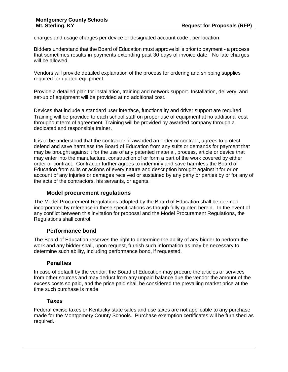charges and usage charges per device or designated account code , per location.

Bidders understand that the Board of Education must approve bills prior to payment - a process that sometimes results in payments extending past 30 days of invoice date. No late charges will be allowed.

Vendors will provide detailed explanation of the process for ordering and shipping supplies required for quoted equipment.

Provide a detailed plan for installation, training and network support. Installation, delivery, and set-up of equipment will be provided at no additional cost.

Devices that include a standard user interface, functionality and driver support are required. Training will be provided to each school staff on proper use of equipment at no additional cost throughout term of agreement. Training will be provided by awarded company through a dedicated and responsible trainer.

It is to be understood that the contractor, if awarded an order or contract, agrees to protect, defend and save harmless the Board of Education from any suits or demands for payment that may be brought against it for the use of any patented material, process, article or device that may enter into the manufacture, construction of or form a part of the work covered by either order or contract. Contractor further agrees to indemnify and save harmless the Board of Education from suits or actions of every nature and description brought against it for or on account of any injuries or damages received or sustained by any party or parties by or for any of the acts of the contractors, his servants, or agents.

### **Model procurement regulations**

The Model Procurement Regulations adopted by the Board of Education shall be deemed incorporated by reference in these specifications as though fully quoted herein. In the event of any conflict between this invitation for proposal and the Model Procurement Regulations, the Regulations shall control.

### **Performance bond**

The Board of Education reserves the right to determine the ability of any bidder to perform the work and any bidder shall, upon request, furnish such information as may be necessary to determine such ability, including performance bond, if requested.

### **Penalties**

In case of default by the vendor, the Board of Education may procure the articles or services from other sources and may deduct from any unpaid balance due the vendor the amount of the excess costs so paid, and the price paid shall be considered the prevailing market price at the time such purchase is made.

#### **Taxes**

Federal excise taxes or Kentucky state sales and use taxes are not applicable to any purchase made for the Montgomery County Schools. Purchase exemption certificates will be furnished as required.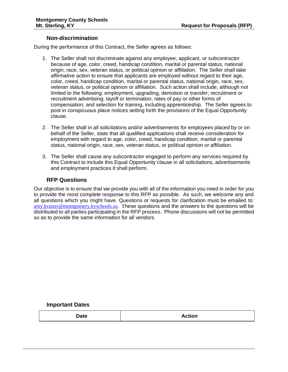#### **Non-discrimination**

During the performance of this Contract, the Seller agrees as follows:

- 1. The Seller shall not discriminate against any employee, applicant, or subcontractor because of age, color, creed, handicap condition, marital or parental status, national origin, race, sex, veteran status, or political opinion or affiliation. The Seller shall take affirmative action to ensure that applicants are employed without regard to their age, color, creed, handicap condition, marital or parental status, national origin, race, sex, veteran status, or political opinion or affiliation. Such action shall include, although not limited to the following: employment, upgrading, demotion or transfer; recruitment or recruitment advertising; layoff or termination; rates of pay or other forms of compensation; and selection for training, including apprenticeship. The Seller agrees to post in conspicuous place notices setting forth the provisions of the Equal Opportunity clause.
- 2. The Seller shall in all solicitations and/or advertisements for employees placed by or on behalf of the Seller, state that all qualified applications shall receive consideration for employment with regard to age, color, creed, handicap condition, marital or parental status, national origin, race, sex, veteran status, or political opinion or affiliation.
- 3. The Seller shall cause any subcontractor engaged to perform any services required by this Contract to include this Equal Opportunity clause in all solicitations, advertisements and employment practices it shall perform.

#### **RFP Questions**

Our objective is to ensure that we provide you with all of the information you need in order for you to provide the most complete response to this RFP as possible. As such, we welcome any and all questions which you might have. Questions or requests for clarification must be emailed to: [amy.kratzer@montgomery.kyschools.us.](mailto:amy.kratzer@montgomery.kyschools.us) These questions and the answers to the questions will be distributed to all parties participating in the RFP process. Phone discussions will not be permitted so as to provide the same information for all vendors.

#### **Important Dates**

|  | <b>Date</b> | <b>Action</b> |
|--|-------------|---------------|
|--|-------------|---------------|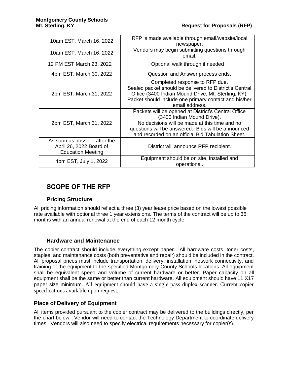| 10am EST, March 16, 2022                                                             | RFP is made available through email/website/local<br>newspaper.                                                                                                                                                                               |  |  |  |  |  |
|--------------------------------------------------------------------------------------|-----------------------------------------------------------------------------------------------------------------------------------------------------------------------------------------------------------------------------------------------|--|--|--|--|--|
| 10am EST, March 16, 2022                                                             | Vendors may begin submitting questions through<br>email.                                                                                                                                                                                      |  |  |  |  |  |
| 12 PM EST March 23, 2022                                                             | Optional walk through if needed                                                                                                                                                                                                               |  |  |  |  |  |
| 4pm EST, March 30, 2022                                                              | Question and Answer process ends.                                                                                                                                                                                                             |  |  |  |  |  |
| 2pm EST, March 31, 2022                                                              | Completed response to RFP due.<br>Sealed packet should be delivered to District's Central<br>Office (3400 Indian Mound Drive, Mt. Sterling, KY).<br>Packet should include one primary contact and his/her<br>email address.                   |  |  |  |  |  |
| 2pm EST, March 31, 2022                                                              | Packets will be opened at District's Central Office<br>(3400 Indian Mound Drive).<br>No decisions will be made at this time and no<br>questions will be answered. Bids will be announced<br>and recorded on an official Bid Tabulation Sheet. |  |  |  |  |  |
| As soon as possible after the<br>April 26, 2022 Board of<br><b>Education Meeting</b> | District will announce RFP recipient.                                                                                                                                                                                                         |  |  |  |  |  |
| 4pm EST, July 1, 2022                                                                | Equipment should be on site, installed and<br>operational.                                                                                                                                                                                    |  |  |  |  |  |

# **SCOPE OF THE RFP**

# **Pricing Structure**

All pricing information should reflect a three (3) year lease price based on the lowest possible rate available with optional three 1 year extensions. The terms of the contract will be up to 36 months with an annual renewal at the end of each 12 month cycle.

### **Hardware and Maintenance**

The copier contract should include everything except paper. All hardware costs, toner costs, staples, and maintenance costs (both preventative and repair) should be included in the contract. All proposal prices must include transportation, delivery, installation, network connectivity, and training of the equipment to the specified Montgomery County Schools locations. All equipment shall be equivalent speed and volume of current hardware or better. Paper capacity on all equipment shall be the same or better than current hardware. All equipment should have 11 X17 paper size minimum. All equipment should have a single pass duplex scanner. Current copier specifications available upon request.

# **Place of Delivery of Equipment**

All items provided pursuant to the copier contract may be delivered to the buildings directly, per the chart below. Vendor will need to contact the Technology Department to coordinate delivery times. Vendors will also need to specify electrical requirements necessary for copier(s).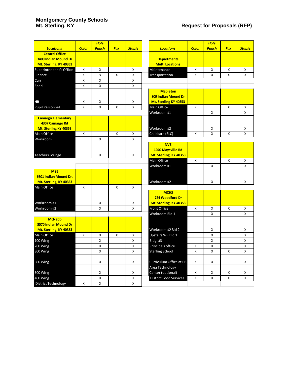|                            |              | <b>Hole</b>  |            |                         |                          |                               |   | <b>Hole</b>  |                    |               |
|----------------------------|--------------|--------------|------------|-------------------------|--------------------------|-------------------------------|---|--------------|--------------------|---------------|
| <b>Locations</b>           | <b>Color</b> | <b>Punch</b> | <b>Fax</b> | <b>Staple</b>           |                          | <b>Locations</b>              |   | <b>Punch</b> | <b>Fax</b>         | <b>Staple</b> |
| <b>Central Office</b>      |              |              |            |                         |                          |                               |   |              |                    |               |
| 3400 Indian Mound Dr       |              |              |            |                         |                          | <b>Departments</b>            |   |              |                    |               |
| Mt. Sterling, KY 40353     |              |              |            |                         |                          | <b>Multi Locations</b>        |   |              |                    |               |
| Superintendent's Office    | X            | X            |            | x                       |                          | Maintenance                   |   | X            | X                  | Χ             |
| Finance                    | X            | $\mathsf{x}$ | X          | X                       | Transportation           |                               | X | X            | X                  | X             |
| Curr                       | Χ            | X            |            | Χ                       |                          |                               |   |              |                    |               |
| Sped                       | X            | X            |            | X                       |                          |                               |   |              |                    |               |
|                            |              |              |            |                         |                          | <b>Mapleton</b>               |   |              |                    |               |
|                            |              |              |            |                         |                          | 809 Indian Mound Dr           |   |              |                    |               |
| <b>HR</b>                  | Χ            | Χ            |            | Χ                       |                          | Mt. Sterling KY 40353         |   |              |                    |               |
| <b>Pupil Personnel</b>     | X            | X            | Χ          | X                       |                          | Main Office                   |   |              | $\pmb{\mathsf{X}}$ | x             |
|                            |              |              |            |                         | Workroom #1              |                               |   | X            |                    | X             |
| <b>Camargo Elementary</b>  |              |              |            |                         |                          |                               |   |              |                    |               |
| 4307 Camargo Rd            |              |              |            |                         |                          |                               |   |              |                    |               |
| Mt. Sterling KY 40353      |              |              |            |                         | Workroom #2              |                               |   | Х            |                    | x             |
| Main Office                | X            |              | X          | X                       | Childcare (ELC)          |                               | X | X            | X                  | X             |
| Workroom                   |              | X            |            | X                       |                          |                               |   |              |                    |               |
|                            |              |              |            |                         |                          | <b>NVE</b>                    |   |              |                    |               |
|                            |              |              |            |                         |                          | 1040 Maysville Rd             |   |              |                    |               |
| <b>Teachers Lounge</b>     |              | X            |            | X                       |                          | Mt. Sterling, KY 40353        |   |              |                    |               |
|                            |              |              |            |                         | Main Office              |                               | X |              | X                  | X             |
|                            |              |              |            |                         | Workroom #1              |                               |   | X            |                    | X             |
| <b>MSE</b>                 |              |              |            |                         |                          |                               |   |              |                    |               |
| 6601 Indian Mound Dr.      |              |              |            |                         |                          |                               |   |              |                    |               |
| Mt. Sterling, KY 40353     |              |              |            |                         | Workroom #2              |                               |   | x            |                    | x             |
| Main Office                | X            |              | X          | Χ                       |                          |                               |   |              |                    |               |
|                            |              |              |            |                         |                          | <b>MCHS</b>                   |   |              |                    |               |
|                            |              |              |            |                         |                          | 724 Woodford Dr               |   |              |                    |               |
| Workroom #1                |              | х            |            | x                       |                          | Mt. Sterling, KY 40353        |   |              |                    |               |
| Workroom #2                |              | X            |            | X                       | <b>Front Office</b>      |                               | X | X            | X                  | X             |
|                            |              |              |            |                         | Workroom Bld 1           |                               |   | x            |                    | x             |
| <b>McNabb</b>              |              |              |            |                         |                          |                               |   |              |                    |               |
| 3570 Indian Mound Dr       |              |              |            |                         |                          |                               |   |              |                    |               |
| Mt. Sterling, KY 40353     |              |              |            |                         |                          | Workroom #2 Bld 2             |   | X            |                    | X             |
| Main Office                | X            | X            | X          | x                       | <b>Upstairs WR Bld 1</b> |                               |   | Χ            |                    | X             |
| 100 Wing                   |              | X            |            | x                       | Bldg. #3                 |                               |   | X            |                    | x             |
| 200 Wing                   |              | $\mathsf{x}$ |            | $\overline{\mathsf{x}}$ | Principals office        |                               | X | X            |                    | X             |
| 300 Wing                   |              | Χ            |            | X                       | <b>Sterling School</b>   |                               | Χ | X            | X                  | x             |
|                            |              |              |            |                         |                          |                               |   |              |                    |               |
| 600 Wing                   |              | х            |            | X                       |                          | Curriculum Office at HS       | х | x            |                    | x             |
|                            |              |              |            |                         | Area Technology          |                               |   |              |                    |               |
| 500 Wing                   |              | х            |            | x                       | Center (optional)        |                               | х | x            | Х                  | x             |
| 400 Wing                   |              | X            |            | X                       |                          | <b>District Food Services</b> | X | Χ            | X                  | X             |
| <b>District Technology</b> | Χ            | X            |            | x                       |                          |                               |   |              |                    |               |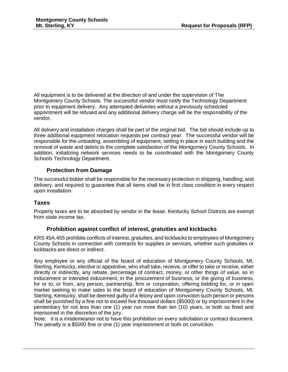All equipment is to be delivered at the direction of and under the supervision of The Montgomery County Schools. The successful vendor must notify the Technology Department prior to equipment delivery. Any attempted deliveries without a previously scheduled appointment will be refused and any additional delivery charge will be the responsibility of the vendor.

All delivery and installation charges shall be part of the original bid. The bid should include up to three additional equipment relocation requests per contract year. The successful vendor will be responsible for the unloading, assembling of equipment, setting in place in each building and the removal of waste and debris to the complete satisfaction of the Montgomery County Schools. In addition, initializing network services needs to be coordinated with the Montgomery County Schools Technology Department.

### **Protection from Damage**

The successful bidder shall be responsible for the necessary protection in shipping, handling, and delivery, and required to guarantee that all items shall be in first class condition in every respect upon installation.

### **Taxes**

Property taxes are to be absorbed by vendor in the lease. Kentucky School Districts are exempt from state income tax.

### **Prohibition against conflict of interest, gratuities and kickbacks**

KRS 45A.455 prohibits conflicts of interest, gratuities, and kickbacks to employees of Montgomery County Schools in connection with contracts for supplies or services, whether such gratuities or kickbacks are direct or indirect.

Any employee or any official of the board of education of Montgomery County Schools, Mt. Sterling, Kentucky, elective or appointive, who shall take, receive, or offer to take or receive, either directly or indirectly, any rebate, percentage of contract, money, or other things of value, as in inducement or intended inducement, in the procurement of business, or the giving of business, for or to, or from, any person, partnership, firm or corporation, offering bidding for, or in open market seeking to make sales to the board of education of Montgomery County Schools, Mt. Sterling, Kentucky, shall be deemed guilty of a felony and upon conviction such person or persons shall be punished by a fine not to exceed five thousand dollars (\$5000) or by imprisonment in the penitentiary for not less than one (1) year nor more than ten (10) years, or both so fined and imprisoned in the discretion of the jury.

Note: it is a misdemeanor not to have this prohibition on every solicitation or contract document. The penalty is a \$5000 fine or one (1) year imprisonment or both on conviction.